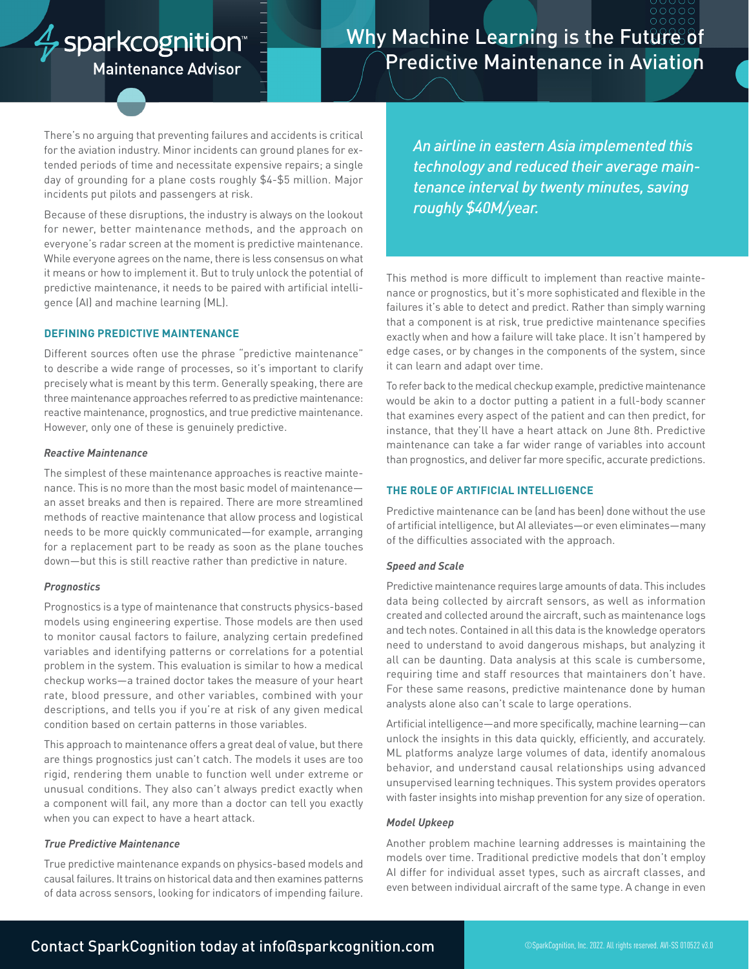# $\frac{A}{V}$ sparkcognition

# Why Machine Learning is the Future of Predictive Maintenance in Aviation

**Maintenance Advisor** 

There's no arguing that preventing failures and accidents is critical for the aviation industry. Minor incidents can ground planes for extended periods of time and necessitate expensive repairs; a single day of grounding for a plane costs roughly \$4-\$5 million. Major incidents put pilots and passengers at risk.

Because of these disruptions, the industry is always on the lookout for newer, better maintenance methods, and the approach on everyone's radar screen at the moment is predictive maintenance. While everyone agrees on the name, there is less consensus on what it means or how to implement it. But to truly unlock the potential of predictive maintenance, it needs to be paired with artificial intelligence (AI) and machine learning (ML).

# **DEFINING PREDICTIVE MAINTENANCE**

Different sources often use the phrase "predictive maintenance" to describe a wide range of processes, so it's important to clarify precisely what is meant by this term. Generally speaking, there are three maintenance approaches referred to as predictive maintenance: reactive maintenance, prognostics, and true predictive maintenance. However, only one of these is genuinely predictive.

#### *Reactive Maintenance*

The simplest of these maintenance approaches is reactive maintenance. This is no more than the most basic model of maintenance an asset breaks and then is repaired. There are more streamlined methods of reactive maintenance that allow process and logistical needs to be more quickly communicated—for example, arranging for a replacement part to be ready as soon as the plane touches down—but this is still reactive rather than predictive in nature.

### *Prognostics*

Prognostics is a type of maintenance that constructs physics-based models using engineering expertise. Those models are then used to monitor causal factors to failure, analyzing certain predefined variables and identifying patterns or correlations for a potential problem in the system. This evaluation is similar to how a medical checkup works—a trained doctor takes the measure of your heart rate, blood pressure, and other variables, combined with your descriptions, and tells you if you're at risk of any given medical condition based on certain patterns in those variables.

This approach to maintenance offers a great deal of value, but there are things prognostics just can't catch. The models it uses are too rigid, rendering them unable to function well under extreme or unusual conditions. They also can't always predict exactly when a component will fail, any more than a doctor can tell you exactly when you can expect to have a heart attack.

### *True Predictive Maintenance*

True predictive maintenance expands on physics-based models and causal failures. It trains on historical data and then examines patterns of data across sensors, looking for indicators of impending failure. *An airline in eastern Asia implemented this technology and reduced their average maintenance interval by twenty minutes, saving roughly \$40M/year.*

This method is more difficult to implement than reactive maintenance or prognostics, but it's more sophisticated and flexible in the failures it's able to detect and predict. Rather than simply warning that a component is at risk, true predictive maintenance specifies exactly when and how a failure will take place. It isn't hampered by edge cases, or by changes in the components of the system, since it can learn and adapt over time.

To refer back to the medical checkup example, predictive maintenance would be akin to a doctor putting a patient in a full-body scanner that examines every aspect of the patient and can then predict, for instance, that they'll have a heart attack on June 8th. Predictive maintenance can take a far wider range of variables into account than prognostics, and deliver far more specific, accurate predictions.

# **THE ROLE OF ARTIFICIAL INTELLIGENCE**

Predictive maintenance can be (and has been) done without the use of artificial intelligence, but AI alleviates—or even eliminates—many of the difficulties associated with the approach.

### *Speed and Scale*

Predictive maintenance requires large amounts of data. This includes data being collected by aircraft sensors, as well as information created and collected around the aircraft, such as maintenance logs and tech notes. Contained in all this data is the knowledge operators need to understand to avoid dangerous mishaps, but analyzing it all can be daunting. Data analysis at this scale is cumbersome, requiring time and staff resources that maintainers don't have. For these same reasons, predictive maintenance done by human analysts alone also can't scale to large operations.

Artificial intelligence—and more specifically, machine learning—can unlock the insights in this data quickly, efficiently, and accurately. ML platforms analyze large volumes of data, identify anomalous behavior, and understand causal relationships using advanced unsupervised learning techniques. This system provides operators with faster insights into mishap prevention for any size of operation.

#### *Model Upkeep*

Another problem machine learning addresses is maintaining the models over time. Traditional predictive models that don't employ AI differ for individual asset types, such as aircraft classes, and even between individual aircraft of the same type. A change in even